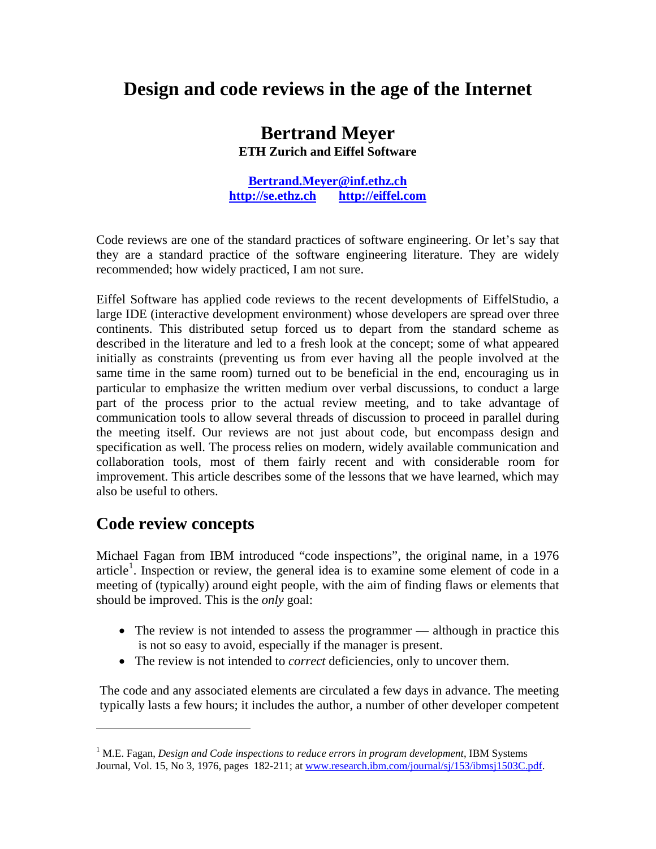# **Design and code reviews in the age of the Internet**

### **Bertrand Meyer ETH Zurich and Eiffel Software**

**[Bertrand.Meyer@inf.ethz.ch](mailto:Bertrand.Meyer@inf.ethz.ch) [http://se.ethz.ch](http://se.ethz.ch/) [http://eiffel.com](http://eiffel.com/)**

Code reviews are one of the standard practices of software engineering. Or let's say that they are a standard practice of the software engineering literature. They are widely recommended; how widely practiced, I am not sure.

Eiffel Software has applied code reviews to the recent developments of EiffelStudio, a large IDE (interactive development environment) whose developers are spread over three continents. This distributed setup forced us to depart from the standard scheme as described in the literature and led to a fresh look at the concept; some of what appeared initially as constraints (preventing us from ever having all the people involved at the same time in the same room) turned out to be beneficial in the end, encouraging us in particular to emphasize the written medium over verbal discussions, to conduct a large part of the process prior to the actual review meeting, and to take advantage of communication tools to allow several threads of discussion to proceed in parallel during the meeting itself. Our reviews are not just about code, but encompass design and specification as well. The process relies on modern, widely available communication and collaboration tools, most of them fairly recent and with considerable room for improvement. This article describes some of the lessons that we have learned, which may also be useful to others.

## **Code review concepts**

 $\overline{a}$ 

Michael Fagan from IBM introduced "code inspections", the original name, in a 1976 article<sup>[1](#page-0-0)</sup>. Inspection or review, the general idea is to examine some element of code in a meeting of (typically) around eight people, with the aim of finding flaws or elements that should be improved. This is the *only* goal:

- The review is not intended to assess the programmer although in practice this is not so easy to avoid, especially if the manager is present.
- The review is not intended to *correct* deficiencies, only to uncover them.

The code and any associated elements are circulated a few days in advance. The meeting typically lasts a few hours; it includes the author, a number of other developer competent

<span id="page-0-0"></span><sup>&</sup>lt;sup>1</sup> M.E. Fagan, *Design and Code inspections to reduce errors in program development*, IBM Systems Journal, Vol. 15, No 3, 1976, pages 182-211; at [www.research.ibm.com/journal/sj/153/ibmsj1503C.pdf.](http://www.research.ibm.com/journal/sj/153/ibmsj1503C.pdf)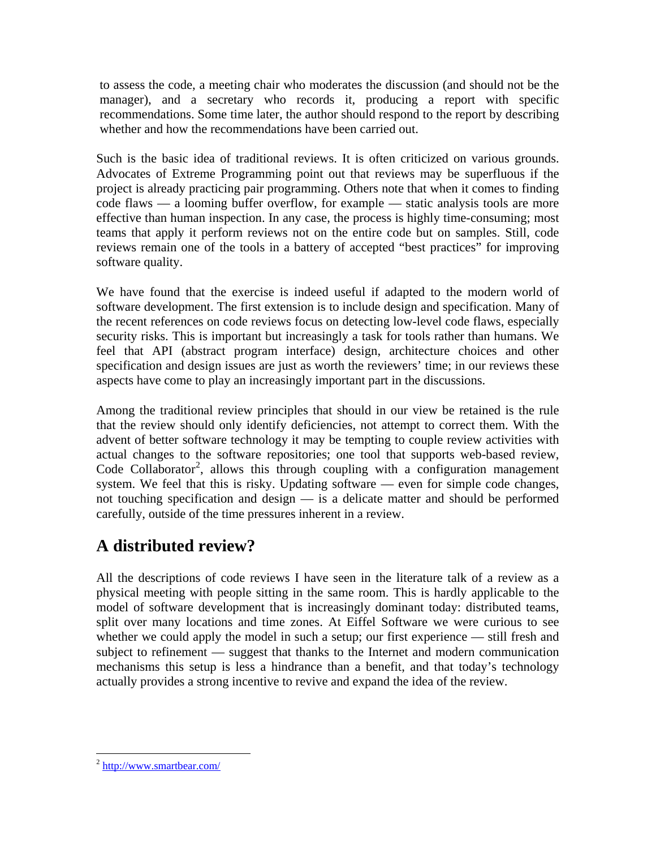to assess the code, a meeting chair who moderates the discussion (and should not be the manager), and a secretary who records it, producing a report with specific recommendations. Some time later, the author should respond to the report by describing whether and how the recommendations have been carried out.

Such is the basic idea of traditional reviews. It is often criticized on various grounds. Advocates of Extreme Programming point out that reviews may be superfluous if the project is already practicing pair programming. Others note that when it comes to finding code flaws — a looming buffer overflow, for example — static analysis tools are more effective than human inspection. In any case, the process is highly time-consuming; most teams that apply it perform reviews not on the entire code but on samples. Still, code reviews remain one of the tools in a battery of accepted "best practices" for improving software quality.

We have found that the exercise is indeed useful if adapted to the modern world of software development. The first extension is to include design and specification. Many of the recent references on code reviews focus on detecting low-level code flaws, especially security risks. This is important but increasingly a task for tools rather than humans. We feel that API (abstract program interface) design, architecture choices and other specification and design issues are just as worth the reviewers' time; in our reviews these aspects have come to play an increasingly important part in the discussions.

Among the traditional review principles that should in our view be retained is the rule that the review should only identify deficiencies, not attempt to correct them. With the advent of better software technology it may be tempting to couple review activities with actual changes to the software repositories; one tool that supports web-based review, Code Collaborator<sup>[2](#page-1-0)</sup>, allows this through coupling with a configuration management system. We feel that this is risky. Updating software — even for simple code changes, not touching specification and design — is a delicate matter and should be performed carefully, outside of the time pressures inherent in a review.

# **A distributed review?**

All the descriptions of code reviews I have seen in the literature talk of a review as a physical meeting with people sitting in the same room. This is hardly applicable to the model of software development that is increasingly dominant today: distributed teams, split over many locations and time zones. At Eiffel Software we were curious to see whether we could apply the model in such a setup; our first experience — still fresh and subject to refinement — suggest that thanks to the Internet and modern communication mechanisms this setup is less a hindrance than a benefit, and that today's technology actually provides a strong incentive to revive and expand the idea of the review.

<span id="page-1-0"></span> $\frac{1}{2}$ <http://www.smartbear.com/>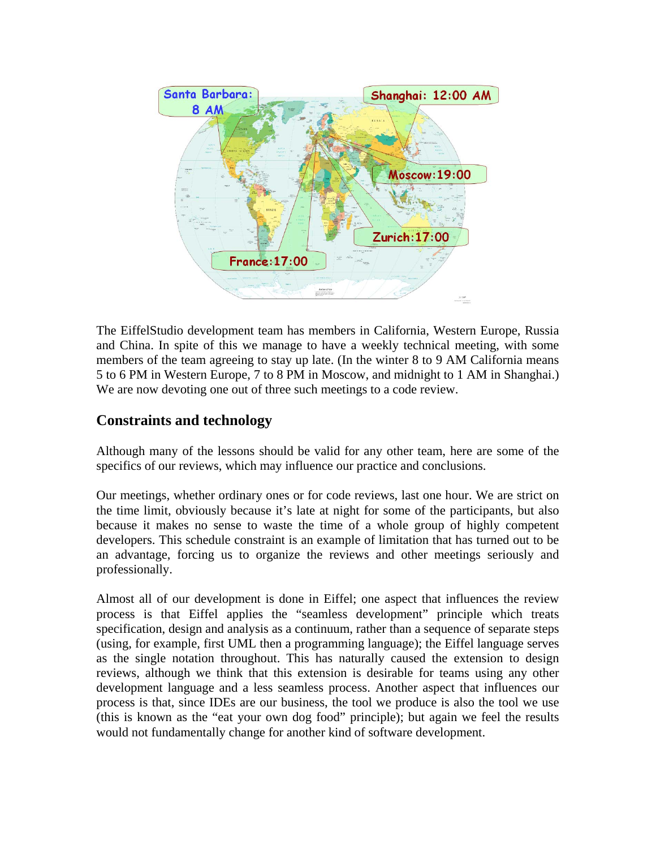

The EiffelStudio development team has members in California, Western Europe, Russia and China. In spite of this we manage to have a weekly technical meeting, with some members of the team agreeing to stay up late. (In the winter 8 to 9 AM California means 5 to 6 PM in Western Europe, 7 to 8 PM in Moscow, and midnight to 1 AM in Shanghai.) We are now devoting one out of three such meetings to a code review.

#### **Constraints and technology**

Although many of the lessons should be valid for any other team, here are some of the specifics of our reviews, which may influence our practice and conclusions.

Our meetings, whether ordinary ones or for code reviews, last one hour. We are strict on the time limit, obviously because it's late at night for some of the participants, but also because it makes no sense to waste the time of a whole group of highly competent developers. This schedule constraint is an example of limitation that has turned out to be an advantage, forcing us to organize the reviews and other meetings seriously and professionally.

Almost all of our development is done in Eiffel; one aspect that influences the review process is that Eiffel applies the "seamless development" principle which treats specification, design and analysis as a continuum, rather than a sequence of separate steps (using, for example, first UML then a programming language); the Eiffel language serves as the single notation throughout. This has naturally caused the extension to design reviews, although we think that this extension is desirable for teams using any other development language and a less seamless process. Another aspect that influences our process is that, since IDEs are our business, the tool we produce is also the tool we use (this is known as the "eat your own dog food" principle); but again we feel the results would not fundamentally change for another kind of software development.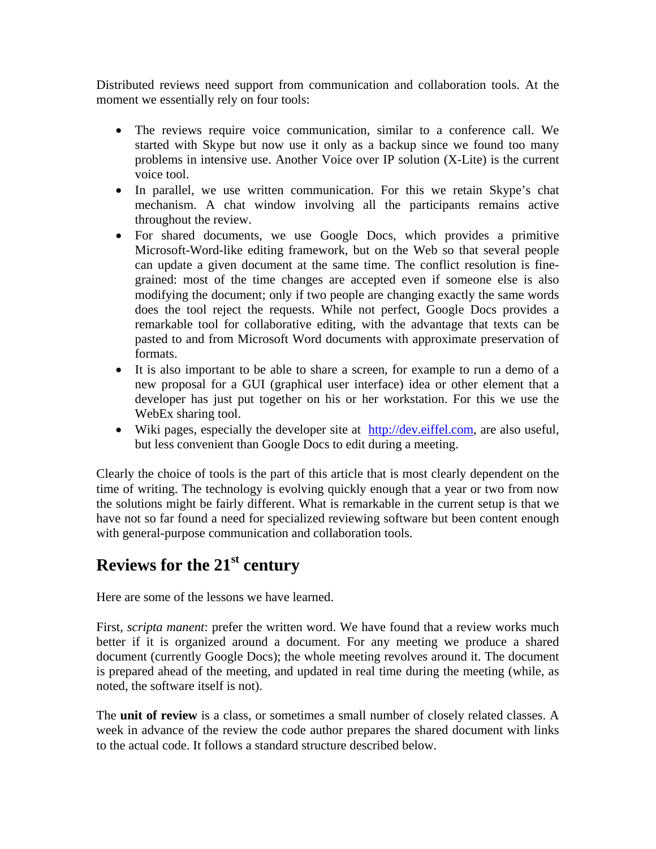Distributed reviews need support from communication and collaboration tools. At the moment we essentially rely on four tools:

- The reviews require voice communication, similar to a conference call. We started with Skype but now use it only as a backup since we found too many problems in intensive use. Another Voice over IP solution (X-Lite) is the current voice tool.
- In parallel, we use written communication. For this we retain Skype's chat mechanism. A chat window involving all the participants remains active throughout the review.
- For shared documents, we use Google Docs, which provides a primitive Microsoft-Word-like editing framework, but on the Web so that several people can update a given document at the same time. The conflict resolution is finegrained: most of the time changes are accepted even if someone else is also modifying the document; only if two people are changing exactly the same words does the tool reject the requests. While not perfect, Google Docs provides a remarkable tool for collaborative editing, with the advantage that texts can be pasted to and from Microsoft Word documents with approximate preservation of formats.
- It is also important to be able to share a screen, for example to run a demo of a new proposal for a GUI (graphical user interface) idea or other element that a developer has just put together on his or her workstation. For this we use the WebEx sharing tool.
- Wiki pages, especially the developer site at [http://dev.eiffel.com,](http://dev.eiffel.com/) are also useful, but less convenient than Google Docs to edit during a meeting.

Clearly the choice of tools is the part of this article that is most clearly dependent on the time of writing. The technology is evolving quickly enough that a year or two from now the solutions might be fairly different. What is remarkable in the current setup is that we have not so far found a need for specialized reviewing software but been content enough with general-purpose communication and collaboration tools.

# **Reviews for the 21st century**

Here are some of the lessons we have learned.

First, *scripta manent*: prefer the written word. We have found that a review works much better if it is organized around a document. For any meeting we produce a shared document (currently Google Docs); the whole meeting revolves around it. The document is prepared ahead of the meeting, and updated in real time during the meeting (while, as noted, the software itself is not).

The **unit of review** is a class, or sometimes a small number of closely related classes. A week in advance of the review the code author prepares the shared document with links to the actual code. It follows a standard structure described below.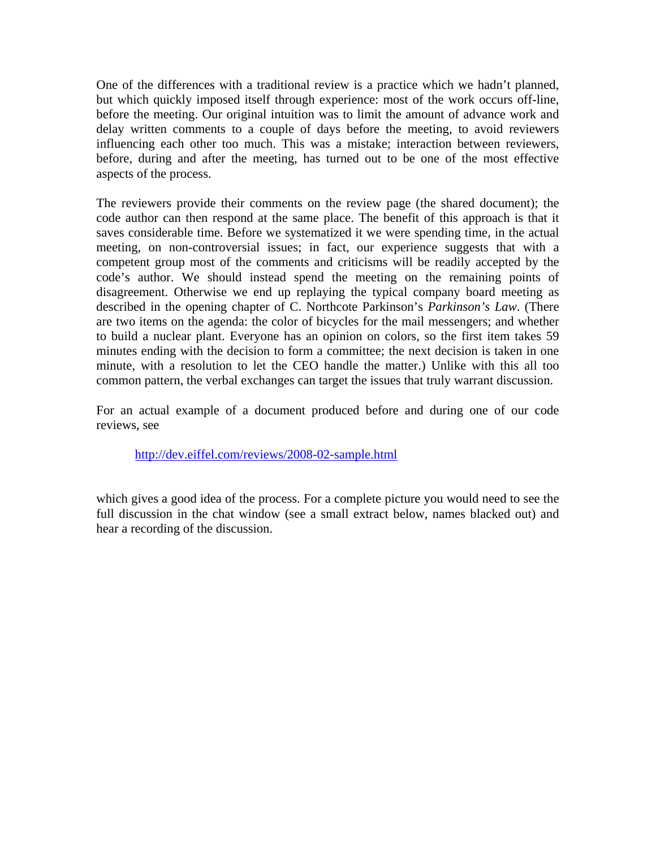One of the differences with a traditional review is a practice which we hadn't planned, but which quickly imposed itself through experience: most of the work occurs off-line, before the meeting. Our original intuition was to limit the amount of advance work and delay written comments to a couple of days before the meeting, to avoid reviewers influencing each other too much. This was a mistake; interaction between reviewers, before, during and after the meeting, has turned out to be one of the most effective aspects of the process.

The reviewers provide their comments on the review page (the shared document); the code author can then respond at the same place. The benefit of this approach is that it saves considerable time. Before we systematized it we were spending time, in the actual meeting, on non-controversial issues; in fact, our experience suggests that with a competent group most of the comments and criticisms will be readily accepted by the code's author. We should instead spend the meeting on the remaining points of disagreement. Otherwise we end up replaying the typical company board meeting as described in the opening chapter of C. Northcote Parkinson's *Parkinson's Law*. (There are two items on the agenda: the color of bicycles for the mail messengers; and whether to build a nuclear plant. Everyone has an opinion on colors, so the first item takes 59 minutes ending with the decision to form a committee; the next decision is taken in one minute, with a resolution to let the CEO handle the matter.) Unlike with this all too common pattern, the verbal exchanges can target the issues that truly warrant discussion.

For an actual example of a document produced before and during one of our code reviews, see

<http://dev.eiffel.com/reviews/2008-02-sample.html>

which gives a good idea of the process. For a complete picture you would need to see the full discussion in the chat window (see a small extract below, names blacked out) and hear a recording of the discussion.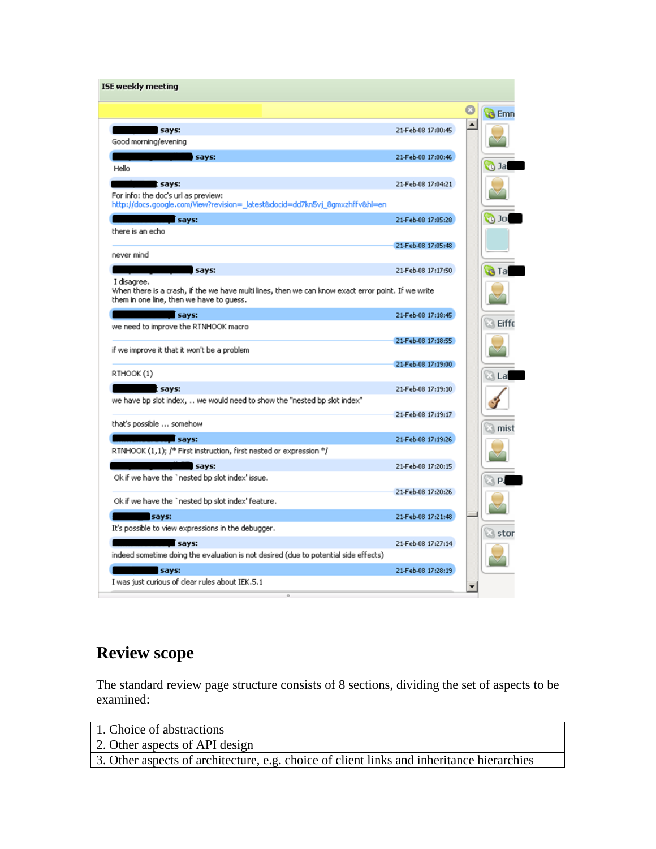| <b>ISE weekly meeting</b>                                                                                                                      |                    |              |
|------------------------------------------------------------------------------------------------------------------------------------------------|--------------------|--------------|
|                                                                                                                                                |                    | <b>G</b> Emn |
| says:                                                                                                                                          | 21-Feb-08 17:00:45 |              |
| Good morning/evening                                                                                                                           |                    |              |
| says:<br>Hello                                                                                                                                 | 21-Feb-08 17:00:46 | Ja           |
|                                                                                                                                                | 21-Feb-08 17:04:21 |              |
| : says:<br>For info: the doc's url as preview:<br>http://docs.google.com/View?revision=_latest&docid=dd7kn5vj_8gmxzhffv&hl=en                  |                    |              |
| $s$ ays:                                                                                                                                       | 21-Feb-08 17:05:28 | <b>A</b> Jo  |
| there is an echo                                                                                                                               |                    |              |
| never mind                                                                                                                                     | 21-Feb-08 17:05:48 |              |
| says:                                                                                                                                          | 21-Feb-08 17:17:50 |              |
| I disagree.                                                                                                                                    |                    | <b>d</b> Ta  |
| When there is a crash, if the we have multi lines, then we can know exact error point. If we write<br>them in one line, then we have to guess. |                    |              |
| says:                                                                                                                                          | 21-Feb-08 17:18:45 | 3. Eifi      |
| we need to improve the RTNHOOK macro                                                                                                           |                    |              |
| if we improve it that it won't be a problem                                                                                                    | 21-Feb-08 17:18:55 |              |
| RTHOOK (1)                                                                                                                                     | 21-Feb-08 17:19:00 |              |
| : says:                                                                                                                                        | 21-Feb-08 17:19:10 |              |
| we have bp slot index,  we would need to show the "nested bp slot index"                                                                       |                    |              |
| that's possible  somehow                                                                                                                       | 21-Feb-08 17:19:17 |              |
| says:                                                                                                                                          | 21-Feb-08 17:19:26 | mist         |
| RTNHOOK (1,1); /* First instruction, first nested or expression */                                                                             |                    |              |
| says:                                                                                                                                          | 21-Feb-08 17:20:15 |              |
| Ok if we have the `nested bp slot index' issue.                                                                                                |                    |              |
| Ok if we have the `nested bp slot index' feature.                                                                                              | 21-Feb-08 17:20:26 |              |
| says:                                                                                                                                          | 21-Feb-08 17:21:48 |              |
| It's possible to view expressions in the debugger.                                                                                             |                    |              |
| says:                                                                                                                                          | 21-Feb-08 17:27:14 | al stor      |
| indeed sometime doing the evaluation is not desired (due to potential side effects)                                                            |                    |              |
| says:                                                                                                                                          | 21-Feb-08 17:28:19 |              |
| I was just curious of clear rules about IEK.5.1                                                                                                |                    |              |

# **Review scope**

The standard review page structure consists of 8 sections, dividing the set of aspects to be examined:

| 1. Choice of abstractions                                                                 |
|-------------------------------------------------------------------------------------------|
| 2. Other aspects of API design                                                            |
| 3. Other aspects of architecture, e.g. choice of client links and inheritance hierarchies |
|                                                                                           |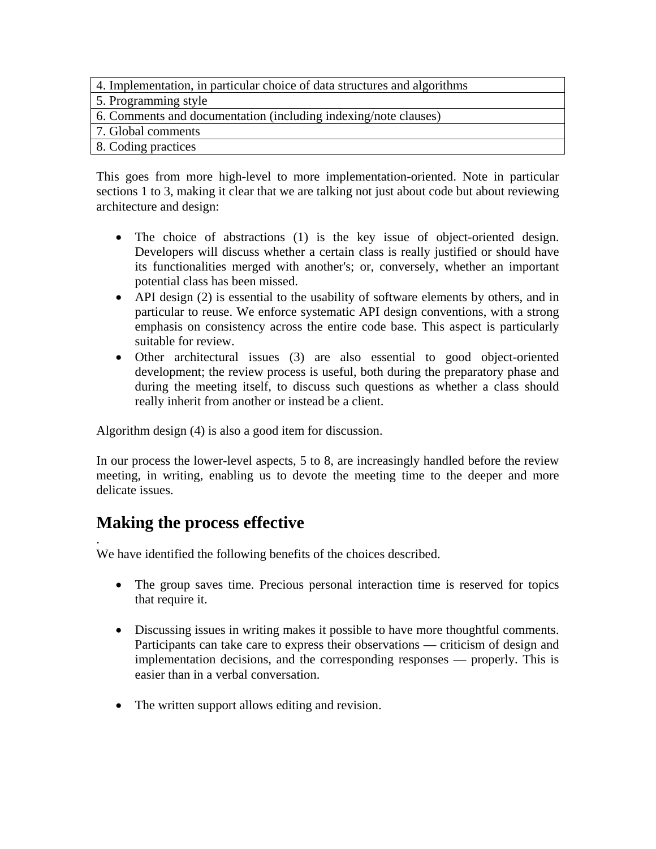| 4. Implementation, in particular choice of data structures and algorithms |
|---------------------------------------------------------------------------|
| 5. Programming style                                                      |
| 6. Comments and documentation (including indexing/note clauses)           |
| 7. Global comments                                                        |
| 8. Coding practices                                                       |

This goes from more high-level to more implementation-oriented. Note in particular sections 1 to 3, making it clear that we are talking not just about code but about reviewing architecture and design:

- The choice of abstractions (1) is the key issue of object-oriented design. Developers will discuss whether a certain class is really justified or should have its functionalities merged with another's; or, conversely, whether an important potential class has been missed.
- API design (2) is essential to the usability of software elements by others, and in particular to reuse. We enforce systematic API design conventions, with a strong emphasis on consistency across the entire code base. This aspect is particularly suitable for review.
- Other architectural issues (3) are also essential to good object-oriented development; the review process is useful, both during the preparatory phase and during the meeting itself, to discuss such questions as whether a class should really inherit from another or instead be a client.

Algorithm design (4) is also a good item for discussion.

In our process the lower-level aspects, 5 to 8, are increasingly handled before the review meeting, in writing, enabling us to devote the meeting time to the deeper and more delicate issues.

# **Making the process effective**

. We have identified the following benefits of the choices described.

- The group saves time. Precious personal interaction time is reserved for topics that require it.
- Discussing issues in writing makes it possible to have more thoughtful comments. Participants can take care to express their observations — criticism of design and implementation decisions, and the corresponding responses — properly. This is easier than in a verbal conversation.
- The written support allows editing and revision.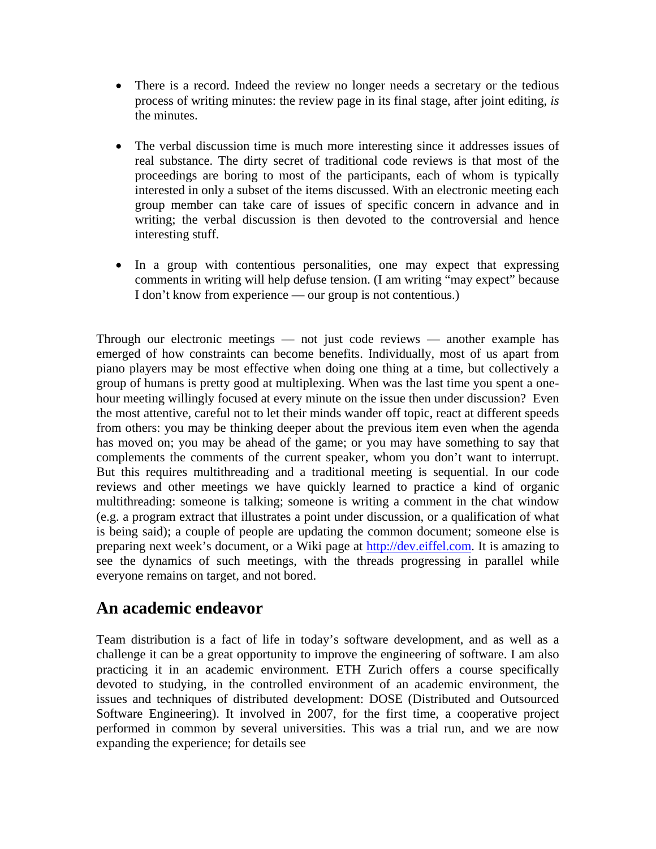- There is a record. Indeed the review no longer needs a secretary or the tedious process of writing minutes: the review page in its final stage, after joint editing, *is* the minutes.
- The verbal discussion time is much more interesting since it addresses issues of real substance. The dirty secret of traditional code reviews is that most of the proceedings are boring to most of the participants, each of whom is typically interested in only a subset of the items discussed. With an electronic meeting each group member can take care of issues of specific concern in advance and in writing; the verbal discussion is then devoted to the controversial and hence interesting stuff.
- In a group with contentious personalities, one may expect that expressing comments in writing will help defuse tension. (I am writing "may expect" because I don't know from experience — our group is not contentious.)

Through our electronic meetings — not just code reviews — another example has emerged of how constraints can become benefits. Individually, most of us apart from piano players may be most effective when doing one thing at a time, but collectively a group of humans is pretty good at multiplexing. When was the last time you spent a onehour meeting willingly focused at every minute on the issue then under discussion? Even the most attentive, careful not to let their minds wander off topic, react at different speeds from others: you may be thinking deeper about the previous item even when the agenda has moved on; you may be ahead of the game; or you may have something to say that complements the comments of the current speaker, whom you don't want to interrupt. But this requires multithreading and a traditional meeting is sequential. In our code reviews and other meetings we have quickly learned to practice a kind of organic multithreading: someone is talking; someone is writing a comment in the chat window (e.g. a program extract that illustrates a point under discussion, or a qualification of what is being said); a couple of people are updating the common document; someone else is preparing next week's document, or a Wiki page at [http://dev.eiffel.com.](http://dev.eiffel.com/) It is amazing to see the dynamics of such meetings, with the threads progressing in parallel while everyone remains on target, and not bored.

## **An academic endeavor**

Team distribution is a fact of life in today's software development, and as well as a challenge it can be a great opportunity to improve the engineering of software. I am also practicing it in an academic environment. ETH Zurich offers a course specifically devoted to studying, in the controlled environment of an academic environment, the issues and techniques of distributed development: DOSE (Distributed and Outsourced Software Engineering). It involved in 2007, for the first time, a cooperative project performed in common by several universities. This was a trial run, and we are now expanding the experience; for details see